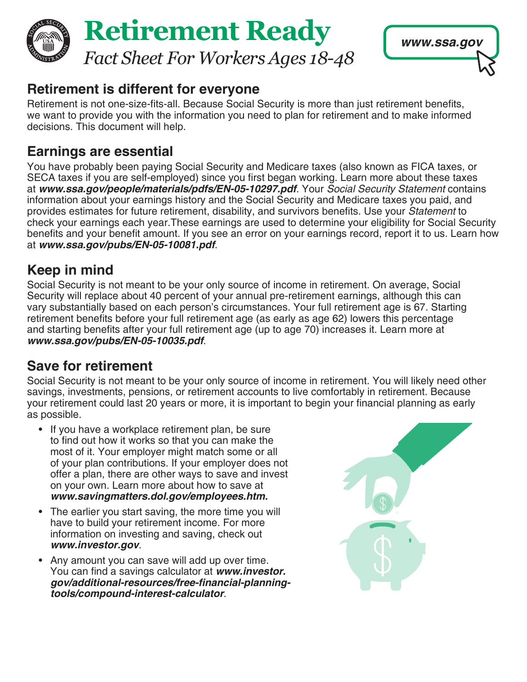



### **Retirement is different for everyone**

Retirement is not one-size-fits-all. Because Social Security is more than just retirement benefits, we want to provide you with the information you need to plan for retirement and to make informed decisions. This document will help.

# **Earnings are essential**

You have probably been paying Social Security and Medicare taxes (also known as FICA taxes, or SECA taxes if you are self-employed) since you first began working. Learn more about these taxes at *[www.ssa.gov/people/materials/pdfs/EN-05-10297.pdf](https://www.ssa.gov/people/materials/pdfs/EN-05-10297.pdf)*. Your *Social Security Statement* contains information about your earnings history and the Social Security and Medicare taxes you paid, and provides estimates for future retirement, disability, and survivors benefits. Use your *Statement* to check your earnings each year.These earnings are used to determine your eligibility for Social Security benefits and your benefit amount. If you see an error on your earnings record, report it to us. Learn how at *[www.ssa.gov/pubs/EN-05-10081.pdf](https://www.ssa.gov/pubs/EN-05-10081.pdf)*.

# **Keep in mind**

Social Security is not meant to be your only source of income in retirement. On average, Social Security will replace about 40 percent of your annual pre-retirement earnings, although this can vary substantially based on each person's circumstances. Your full retirement age is 67. Starting retirement benefits before your full retirement age (as early as age 62) lowers this percentage and starting benefits after your full retirement age (up to age 70) increases it. Learn more at *[www.ssa.gov/pubs/EN-05-10035.pdf](https://www.ssa.gov/pubs/EN-05-10035.pdf)*.

# **Save for retirement**

Social Security is not meant to be your only source of income in retirement. You will likely need other savings, investments, pensions, or retirement accounts to live comfortably in retirement. Because your retirement could last 20 years or more, it is important to begin your financial planning as early as possible.

- If you have a workplace retirement plan, be sure to find out how it works so that you can make the most of it. Your employer might match some or all of your plan contributions. If your employer does not offer a plan, there are other ways to save and invest on your own. Learn more about how to save at *[www.savingmatters.dol.gov/employees.htm.](https://www.savingmatters.dol.gov/employees.htm#6.)*
- The earlier you start saving, the more time you will have to build your retirement income. For more information on investing and saving, check out *[www.investor.gov](https://www.investor.gov/introduction-investing/investing-basics/save-and-invest)*.
- Any amount you can save will add up over time. You can find a savings calculator at *[www.investor.](https://www.investor.gov/additional-resources/free-financial-planning-tools/compound-interest-calculator)* **[gov/additional-resources/free-financial-planning](https://www.investor.gov/additional-resources/free-financial-planning-tools/compound-interest-calculator)***[tools/compound-interest-calculator](https://www.investor.gov/additional-resources/free-financial-planning-tools/compound-interest-calculator)*.